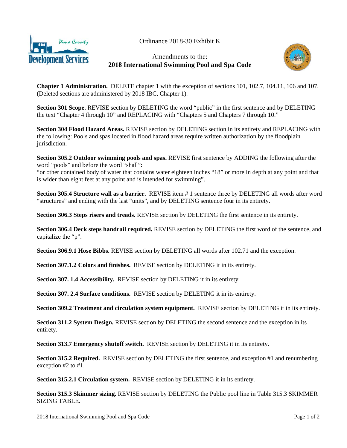



Amendments to the: **2018 International Swimming Pool and Spa Code**



**Chapter 1 Administration.** DELETE chapter 1 with the exception of sections 101, 102.7, 104.11, 106 and 107. (Deleted sections are administered by 2018 IBC, Chapter 1).

**Section 301 Scope.** REVISE section by DELETING the word "public" in the first sentence and by DELETING the text "Chapter 4 through 10" and REPLACING with "Chapters 5 and Chapters 7 through 10."

**Section 304 Flood Hazard Areas.** REVISE section by DELETING section in its entirety and REPLACING with the following: Pools and spas located in flood hazard areas require written authorization by the floodplain jurisdiction.

**Section 305.2 Outdoor swimming pools and spas.** REVISE first sentence by ADDING the following after the word "pools" and before the word "shall":

"or other contained body of water that contains water eighteen inches "18" or more in depth at any point and that is wider than eight feet at any point and is intended for swimming".

**Section 305.4 Structure wall as a barrier.** REVISE item # 1 sentence three by DELETING all words after word "structures" and ending with the last "units"*,* and by DELETING sentence four in its entirety.

**Section 306.3 Steps risers and treads.** REVISE section by DELETING the first sentence in its entirety.

**Section 306.4 Deck steps handrail required.** REVISE section by DELETING the first word of the sentence, and capitalize the "p".

**Section 306.9.1 Hose Bibbs.** REVISE section by DELETING all words after 102.71 and the exception.

**Section 307.1.2 Colors and finishes.** REVISE section by DELETING it in its entirety.

**Section 307. 1.4 Accessibility.** REVISE section by DELETING it in its entirety.

**Section 307. 2.4 Surface conditions.** REVISE section by DELETING it in its entirety.

**Section 309.2 Treatment and circulation system equipment.** REVISE section by DELETING it in its entirety.

**Section 311.2 System Design.** REVISE section by DELETING the second sentence and the exception in its entirety.

**Section 313.7 Emergency shutoff switch.** REVISE section by DELETING it in its entirety.

**Section 315.2 Required.** REVISE section by DELETING the first sentence, and exception #1 and renumbering exception #2 to #1.

**Section 315.2.1 Circulation system.** REVISE section by DELETING it in its entirety.

**Section 315.3 Skimmer sizing.** REVISE section by DELETING the Public pool line in Table 315.3 SKIMMER SIZING TABLE.